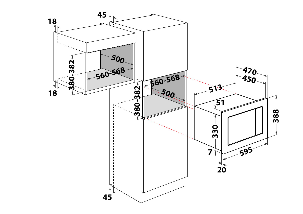